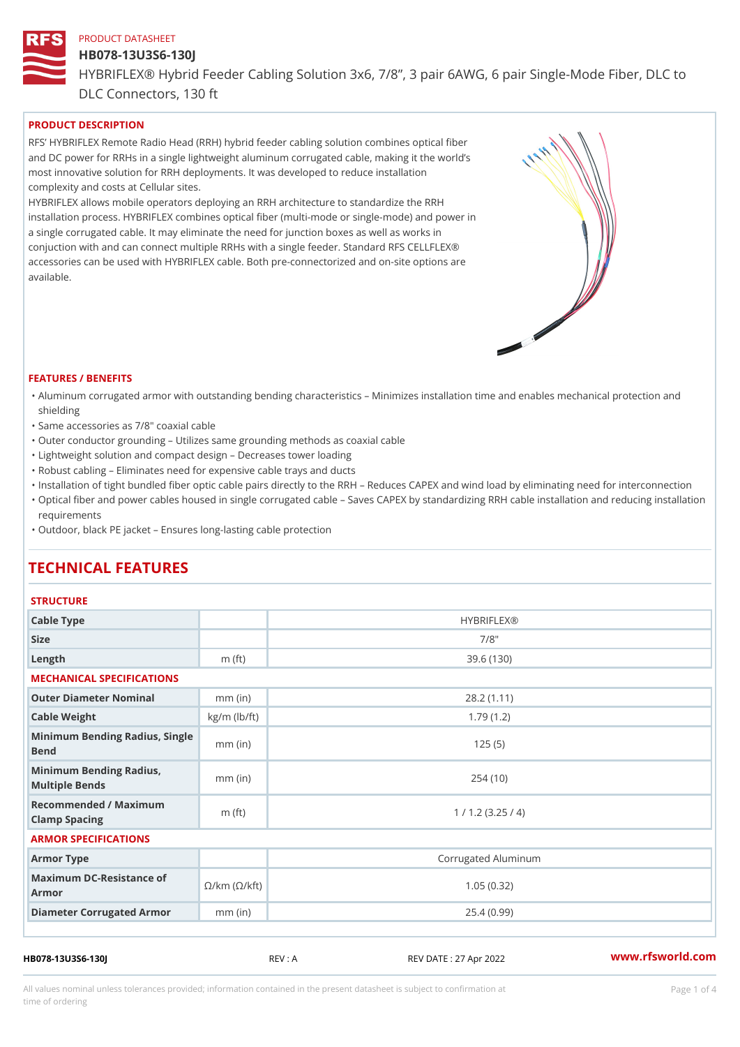#### HB078-13U3S6-130J

HYBRIFLEX® Hybrid Feeder Cabling Solution 3x6, 7/8, 3 pair 6AWG, 6 DLC Connectors, 130 ft

# PRODUCT DESCRIPTION

RFS HYBRIFLEX Remote Radio Head (RRH) hybrid feeder cabling solution combines optical fibe and DC power for RRHs in a single lightweight aluminum corrugated cable, making it the world s most innovative solution for RRH deployments. It was developed to reduce installation complexity and costs at Cellular sites.

HYBRIFLEX allows mobile operators deploying an RRH architecture to standardize the RRH installation process. HYBRIFLEX combines optical fiber (multi-mode or single-mode) and power in a single corrugated cable. It may eliminate the need for junction boxes as well as works in conjuction with and can connect multiple RRHs with a single feeder. Standard RFS CELLFLEX® accessories can be used with HYBRIFLEX cable. Both pre-connectorized and on-site options are available.

#### FEATURES / BENEFITS

- "Aluminum corrugated armor with outstanding bending characteristics Minimizes installation time a shielding
- "Same accessories as 7/8" coaxial cable
- "Outer conductor grounding Utilizes same grounding methods as coaxial cable
- "Lightweight solution and compact design Decreases tower loading
- "Robust cabling Eliminates need for expensive cable trays and ducts
- "Installation of tight bundled fiber optic cable pairs directly to the RRH and belogies CAPEX and wind  $\theta$
- "Optical fiber and power cables housed in single corrugated cable  $\,$  Saves CAPEX by standardiz $\,$ ng  $\,$ requirements
- "Outdoor, black PE jacket Ensures long-lasting cable protection

# TECHNICAL FEATURES

#### **STRUCTURE**

| Cable Type                                                             |                    | <b>HYBRIFLEX®</b>   |  |  |  |
|------------------------------------------------------------------------|--------------------|---------------------|--|--|--|
| Size                                                                   |                    | $7/8$ "             |  |  |  |
| Length                                                                 | m $(ft)$           | 39.6(130)           |  |  |  |
| MECHANICAL SPECIFICATIONS                                              |                    |                     |  |  |  |
| Outer Diameter Nominal                                                 | $mm$ (in)          | 28.2(1.11)          |  |  |  |
| Cable Weight                                                           | $kg/m$ ( $lb/ft$ ) | 1.79(1.2)           |  |  |  |
| Minimum Bending Radius, Single<br>Bend                                 |                    | 125(5)              |  |  |  |
| Minimum Bending Radius,<br>Multiple Bends                              | $mm$ (in)          | 254(10)             |  |  |  |
| Recommended / Maximum<br>Clamp Spacing                                 | m $(ft)$           | 1 / 1.2 (3.25 / 4)  |  |  |  |
| ARMOR SPECIFICATIONS                                                   |                    |                     |  |  |  |
| Armor Type                                                             |                    | Corrugated Aluminum |  |  |  |
| Maximum DC-Resistance $\mathcal{S}/k$ m ( $\mathcal{O}/k$ ft)<br>Armor |                    | 1.05(0.32)          |  |  |  |
| Diameter Corrugated Armomm (in)                                        |                    | 25.4(0.99)          |  |  |  |
|                                                                        |                    |                     |  |  |  |

HB078-13U3S6-130J REV : A REV DATE : 27 Apr 2022 [www.](https://www.rfsworld.com)rfsworld.com

All values nominal unless tolerances provided; information contained in the present datasheet is subject to Pcapgeligim attio time of ordering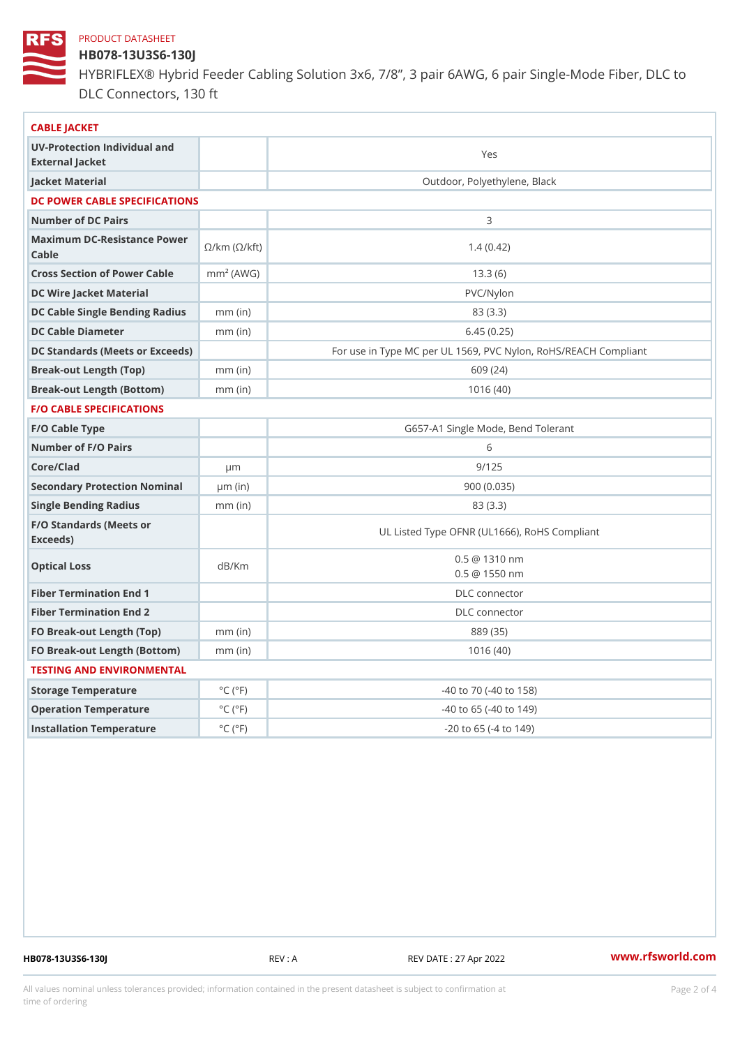# HB078-13U3S6-130J

HYBRIFLEX® Hybrid Feeder Cabling Solution 3x6, 7/8, 3 pair 6AWG, 6 DLC Connectors, 130 ft

| CABLE JACKET                                                                                                                    |                             |                                                      |
|---------------------------------------------------------------------------------------------------------------------------------|-----------------------------|------------------------------------------------------|
| UV-Protection Individual and<br>External Jacket                                                                                 |                             | Yes                                                  |
| Jacket Material                                                                                                                 |                             | Outdoor, Polyethylene, Black                         |
| DC POWER CABLE SPECIFICATIONS                                                                                                   |                             |                                                      |
| Number of DC Pairs                                                                                                              |                             | 3                                                    |
| Maximum DC-Resistance $\bigotimes_{k=m}^{\infty}$ ( $\bigotimes_{k=m}^{\infty}$ /km ( $\bigotimes_{k=m}^{\infty}$ )<br>$C$ able |                             | 1.4(0.42)                                            |
| Cross Section of Power Cnamble (AWG)                                                                                            |                             | 13.3(6)                                              |
| DC Wire Jacket Material                                                                                                         |                             | $PVC/Ny$ lon                                         |
| DC Cable Single Bending Rhandi(uish)                                                                                            |                             | 83 (3.3)                                             |
| DC Cable Diameter                                                                                                               | $mm$ (in)                   | 6.45(0.25)                                           |
| DC Standards (Meets or Exceeds)                                                                                                 |                             | For use in Type MC per UL 1569, PVC Nylon, RoHS/REAC |
| Break-out Length (Top)                                                                                                          | $mm$ (in)                   | 609 (24)                                             |
| Break-out Length (Bottcm)mm (in)                                                                                                |                             | 1016(40)                                             |
| F/O CABLE SPECIFICATIONS                                                                                                        |                             |                                                      |
| F/O Cable Type                                                                                                                  |                             | G657-A1 Single Mode, Bend Tolerant                   |
| Number of F/O Pairs                                                                                                             |                             | 6                                                    |
| Core/Clad                                                                                                                       | $\mu$ m                     | 9/125                                                |
| Secondary Protection Nominal(in)                                                                                                |                             | 900(0.035)                                           |
| Single Bending Radius                                                                                                           | $mm$ (in)                   | 83 (3.3)                                             |
| F/O Standards (Meets or<br>Exceeds)                                                                                             |                             | UL Listed Type OFNR (UL1666), RoHS Compliant         |
| Optical Loss                                                                                                                    | dB/Km                       | $0.5 \t@ 1310 nm$<br>$0.5 \ @ \ 1550 \ nm$           |
| Fiber Termination End                                                                                                           |                             | DLC connector                                        |
| Fiber Termination End 2                                                                                                         |                             | DLC connector                                        |
| FO Break-out Length (Top)mm (in)                                                                                                |                             | 889 (35)                                             |
| FO Break-out Length (Bottomm) (in)                                                                                              |                             | 1016(40)                                             |
| TESTING AND ENVIRONMENTAL                                                                                                       |                             |                                                      |
| Storage Temperature                                                                                                             | $^{\circ}$ C ( $^{\circ}$ F | -40 to 70 (-40 to 158)                               |
| Operation Temperature                                                                                                           | $^{\circ}$ C ( $^{\circ}$ F | $-40$ to 65 ( $-40$ to 149)                          |
| Installation Temperature                                                                                                        | $^{\circ}$ C ( $^{\circ}$ F | $-20$ to $65$ ( $-4$ to $149$ )                      |
|                                                                                                                                 |                             |                                                      |

HB078-13U3S6-130J REV : A REV DATE : 27 Apr 2022 [www.](https://www.rfsworld.com)rfsworld.com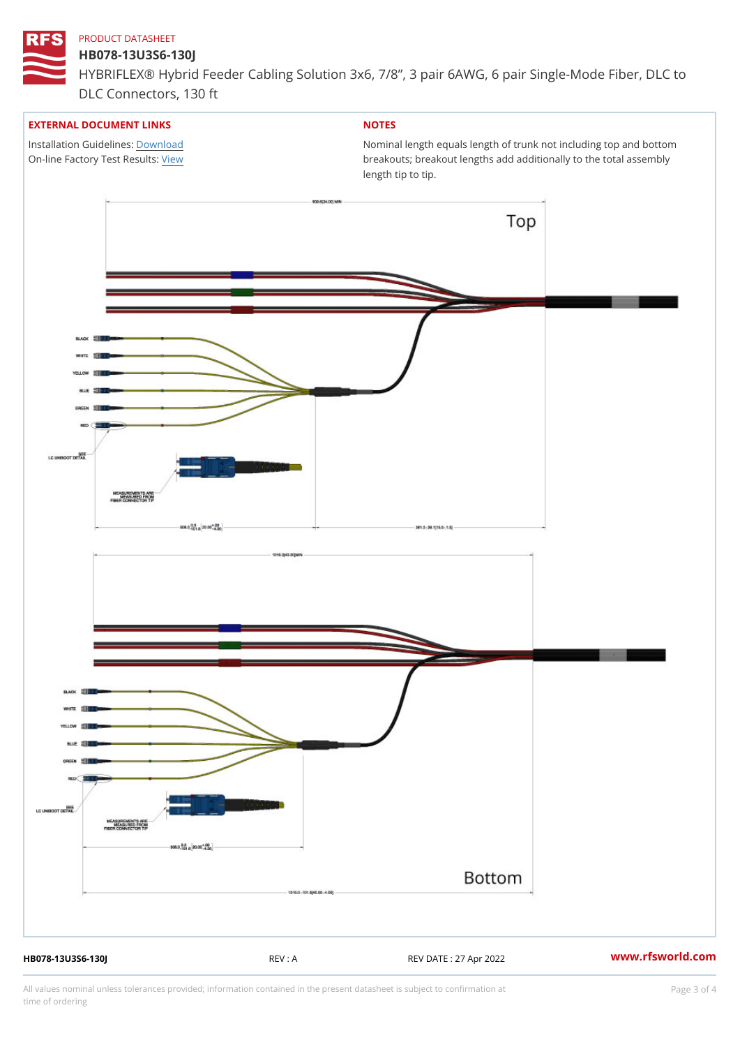## HB078-13U3S6-130J

HYBRIFLEX® Hybrid Feeder Cabling Solution 3x6, 7/8, 3 pair 6AWG, 6 DLC Connectors, 130 ft

#### EXTERNAL DOCUMENT LINKS

Installation Guidelwinessad On-line Factory Te[s](https://www.rfsworld.com/pictures/userfiles/programs/AAST Latest Version.zip)/teRvesults:

# NOTES

Nominal length equals length of trunk not including t breakouts; breakout lengths add additionally to the t length tip to tip.

HB078-13U3S6-130J REV : A REV DATE : 27 Apr 2022 [www.](https://www.rfsworld.com)rfsworld.com

All values nominal unless tolerances provided; information contained in the present datasheet is subject to Pcapgeling that i time of ordering